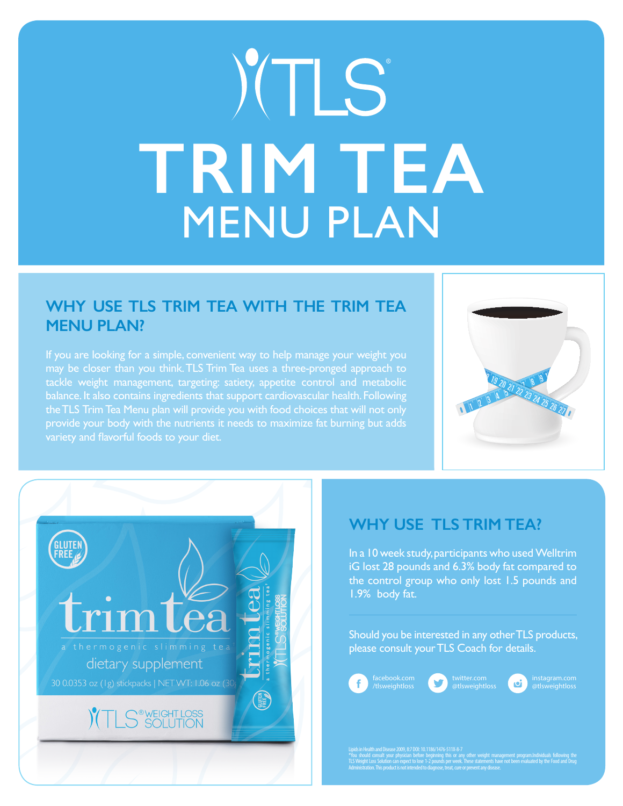# YTLS **TRIM TEA** MENU PLAN

### **WHY USE TLS TRIM TEA WITH THE TRIM TEA MENU PLAN?**

If you are looking for a simple, convenient way to help manage your weight you may be closer than you think. TLS Trim Tea uses a three-pronged approach to tackle weight management, targeting: satiety, appetite control and metabolic balance. It also contains ingredients that support cardiovascular health. Following the TLS Trim Tea Menu plan will provide you with food choices that will not only provide your body with the nutrients it needs to maximize fat burning but adds variety and flavorful foods to your diet.





## **WHY USE TLS TRIM TEA?**

In a 10 week study, participants who used Welltrim iG lost 28 pounds and 6.3% body fat compared to the control group who only lost 1.5 pounds and 1.9% body fat.

Should you be interested in any other TLS products, please consult your TLS Coach for details.





oi i @tlsweightloss

Lipids in Health and Disease 2009, 8:7 DOI: 10.1186/1476-511X-8-7<br>"You should consult, your physician before beginning this or any other weight management program.Individuals following the<br>TLS Weight Loss Solution can expe Administration. This product is not intended to diagnose, treat, cure or prevent any disease.